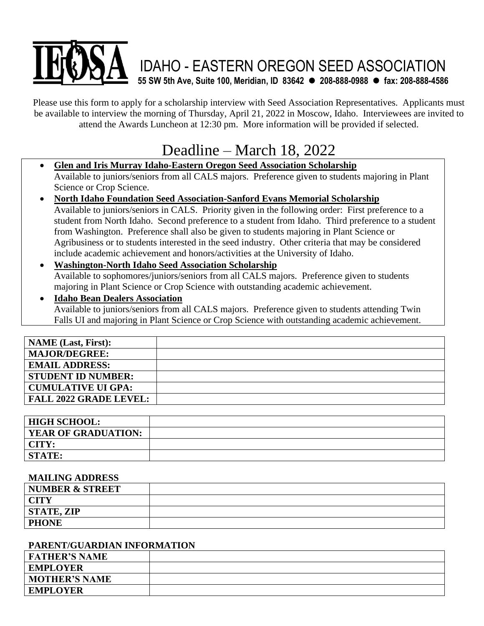# IDAHO - EASTERN OREGON SEED ASSOCIATION **55 SW 5th Ave, Suite 100, Meridian, ID 83642** ⚫ **208-888-0988** ⚫ **fax: 208-888-4586**

Please use this form to apply for a scholarship interview with Seed Association Representatives. Applicants must be available to interview the morning of Thursday, April 21, 2022 in Moscow, Idaho. Interviewees are invited to attend the Awards Luncheon at 12:30 pm. More information will be provided if selected.

# Deadline – March 18, 2022

• **Glen and Iris Murray Idaho-Eastern Oregon Seed Association Scholarship**  Available to juniors/seniors from all CALS majors. Preference given to students majoring in Plant Science or Crop Science.

- **North Idaho Foundation Seed Association-Sanford Evans Memorial Scholarship** Available to juniors/seniors in CALS. Priority given in the following order: First preference to a student from North Idaho. Second preference to a student from Idaho. Third preference to a student from Washington. Preference shall also be given to students majoring in Plant Science or Agribusiness or to students interested in the seed industry. Other criteria that may be considered include academic achievement and honors/activities at the University of Idaho.
- **Washington-North Idaho Seed Association Scholarship** Available to sophomores/juniors/seniors from all CALS majors. Preference given to students majoring in Plant Science or Crop Science with outstanding academic achievement.
- **Idaho Bean Dealers Association** Available to juniors/seniors from all CALS majors. Preference given to students attending Twin Falls UI and majoring in Plant Science or Crop Science with outstanding academic achievement.

| <b>NAME</b> (Last, First):    |  |
|-------------------------------|--|
| <b>MAJOR/DEGREE:</b>          |  |
| <b>EMAIL ADDRESS:</b>         |  |
| <b>STUDENT ID NUMBER:</b>     |  |
| CUMULATIVE UI GPA:            |  |
| <b>FALL 2022 GRADE LEVEL:</b> |  |

| <b>HIGH SCHOOL:</b>        |  |
|----------------------------|--|
| <b>YEAR OF GRADUATION:</b> |  |
| CITY:                      |  |
| <b>STATE:</b>              |  |

#### **MAILING ADDRESS**

| <b>NUMBER &amp; STREET</b> |  |
|----------------------------|--|
| <b>CITY</b>                |  |
| <b>STATE, ZIP</b>          |  |
| <b>PHONE</b>               |  |

#### **PARENT/GUARDIAN INFORMATION**

| <b>FATHER'S NAME</b> |  |
|----------------------|--|
| <b>EMPLOYER</b>      |  |
| <b>MOTHER'S NAME</b> |  |
| <b>EMPLOYER</b>      |  |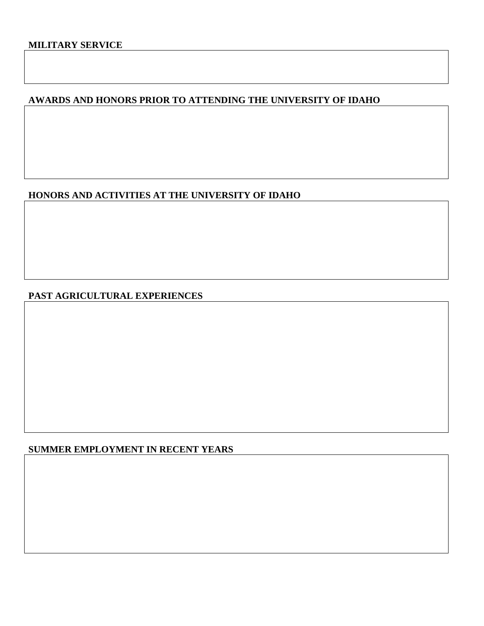# **AWARDS AND HONORS PRIOR TO ATTENDING THE UNIVERSITY OF IDAHO**

# **HONORS AND ACTIVITIES AT THE UNIVERSITY OF IDAHO**

#### **PAST AGRICULTURAL EXPERIENCES**

#### **SUMMER EMPLOYMENT IN RECENT YEARS**